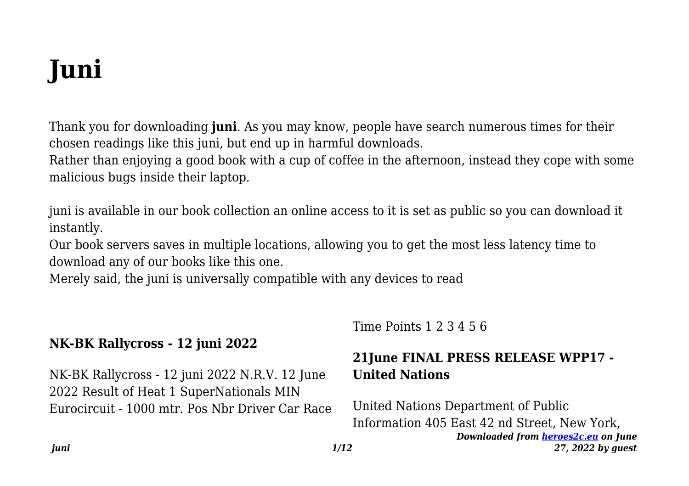# **Juni**

Thank you for downloading **juni**. As you may know, people have search numerous times for their chosen readings like this juni, but end up in harmful downloads.

Rather than enjoying a good book with a cup of coffee in the afternoon, instead they cope with some malicious bugs inside their laptop.

juni is available in our book collection an online access to it is set as public so you can download it instantly.

Our book servers saves in multiple locations, allowing you to get the most less latency time to download any of our books like this one.

Merely said, the juni is universally compatible with any devices to read

# **NK-BK Rallycross - 12 juni 2022**

NK-BK Rallycross - 12 juni 2022 N.R.V. 12 June 2022 Result of Heat 1 SuperNationals MIN Eurocircuit - 1000 mtr. Pos Nbr Driver Car Race Time Points 1 2 3 4 5 6

## **21June FINAL PRESS RELEASE WPP17 - United Nations**

*Downloaded from [heroes2c.eu](http://heroes2c.eu) on June 27, 2022 by guest* United Nations Department of Public Information 405 East 42 nd Street, New York,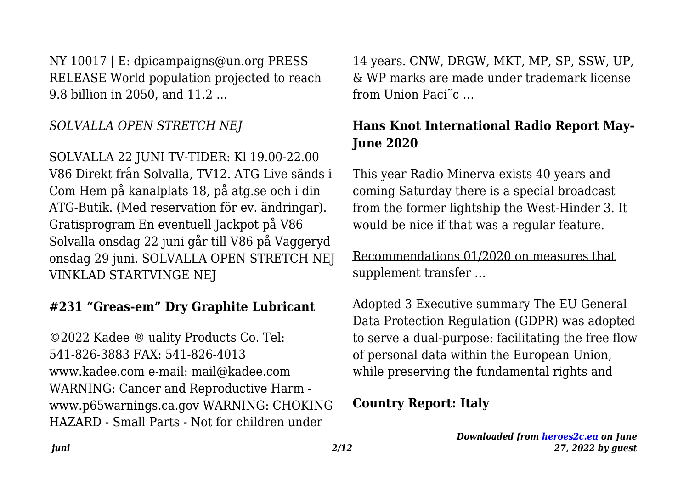NY 10017 | E: dpicampaigns@un.org PRESS RELEASE World population projected to reach 9.8 billion in 2050, and 11.2 ...

# *SOLVALLA OPEN STRETCH NEJ*

SOLVALLA 22 JUNI TV-TIDER: Kl 19.00-22.00 V86 Direkt från Solvalla, TV12. ATG Live sänds i Com Hem på kanalplats 18, på atg.se och i din ATG-Butik. (Med reservation för ev. ändringar). Gratisprogram En eventuell Jackpot på V86 Solvalla onsdag 22 juni går till V86 på Vaggeryd onsdag 29 juni. SOLVALLA OPEN STRETCH NEJ VINKLAD STARTVINGE NEJ

## **#231 "Greas-em" Dry Graphite Lubricant**

©2022 Kadee ® uality Products Co. Tel: 541-826-3883 FAX: 541-826-4013 www.kadee.com e-mail: mail@kadee.com WARNING: Cancer and Reproductive Harm www.p65warnings.ca.gov WARNING: CHOKING HAZARD - Small Parts - Not for children under

14 years. CNW, DRGW, MKT, MP, SP, SSW, UP, & WP marks are made under trademark license from Union Paci<sup> $\tilde{c}$ </sup>

# **Hans Knot International Radio Report May-June 2020**

This year Radio Minerva exists 40 years and coming Saturday there is a special broadcast from the former lightship the West-Hinder 3. It would be nice if that was a regular feature.

Recommendations 01/2020 on measures that supplement transfer …

Adopted 3 Executive summary The EU General Data Protection Regulation (GDPR) was adopted to serve a dual-purpose: facilitating the free flow of personal data within the European Union, while preserving the fundamental rights and

#### **Country Report: Italy**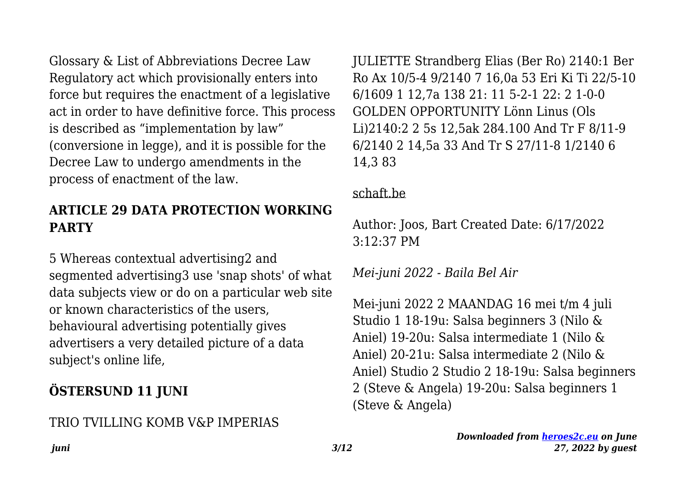Glossary & List of Abbreviations Decree Law Regulatory act which provisionally enters into force but requires the enactment of a legislative act in order to have definitive force. This process is described as "implementation by law" (conversione in legge), and it is possible for the Decree Law to undergo amendments in the process of enactment of the law.

# **ARTICLE 29 DATA PROTECTION WORKING PARTY**

5 Whereas contextual advertising2 and segmented advertising3 use 'snap shots' of what data subjects view or do on a particular web site or known characteristics of the users, behavioural advertising potentially gives advertisers a very detailed picture of a data subject's online life,

# **ÖSTERSUND 11 JUNI**

# TRIO TVILLING KOMB V&P IMPERIAS

JULIETTE Strandberg Elias (Ber Ro) 2140:1 Ber Ro Ax 10/5-4 9/2140 7 16,0a 53 Eri Ki Ti 22/5-10 6/1609 1 12,7a 138 21: 11 5-2-1 22: 2 1-0-0 GOLDEN OPPORTUNITY Lönn Linus (Ols Li)2140:2 2 5s 12,5ak 284.100 And Tr F 8/11-9 6/2140 2 14,5a 33 And Tr S 27/11-8 1/2140 6 14,3 83

#### schaft.be

Author: Joos, Bart Created Date: 6/17/2022 3:12:37 PM

*Mei-juni 2022 - Baila Bel Air*

Mei-juni 2022 2 MAANDAG 16 mei t/m 4 juli Studio 1 18-19u: Salsa beginners 3 (Nilo & Aniel) 19-20u: Salsa intermediate 1 (Nilo & Aniel) 20-21u: Salsa intermediate 2 (Nilo & Aniel) Studio 2 Studio 2 18-19u: Salsa beginners 2 (Steve & Angela) 19-20u: Salsa beginners 1 (Steve & Angela)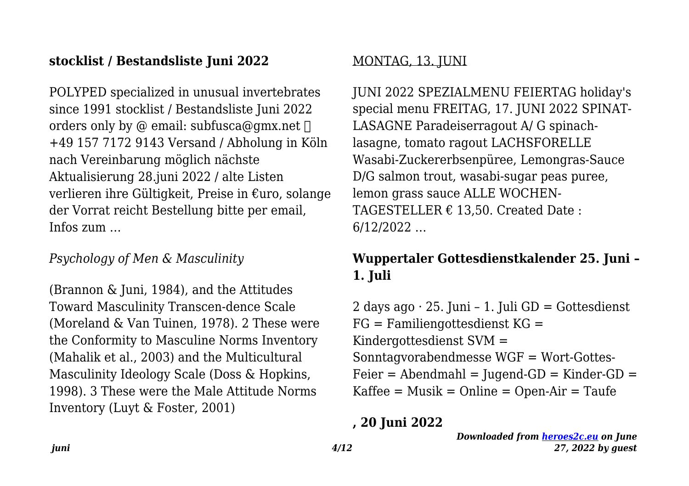#### **stocklist / Bestandsliste Juni 2022**

POLYPED specialized in unusual invertebrates since 1991 stocklist / Bestandsliste Juni 2022 orders only by @ email: subfusca@gmx.net  $\Box$ +49 157 7172 9143 Versand / Abholung in Köln nach Vereinbarung möglich nächste Aktualisierung 28.juni 2022 / alte Listen verlieren ihre Gültigkeit, Preise in €uro, solange der Vorrat reicht Bestellung bitte per email, Infos zum …

#### *Psychology of Men & Masculinity*

(Brannon & Juni, 1984), and the Attitudes Toward Masculinity Transcen-dence Scale (Moreland & Van Tuinen, 1978). 2 These were the Conformity to Masculine Norms Inventory (Mahalik et al., 2003) and the Multicultural Masculinity Ideology Scale (Doss & Hopkins, 1998). 3 These were the Male Attitude Norms Inventory (Luyt & Foster, 2001)

#### MONTAG, 13. JUNI

JUNI 2022 SPEZIALMENU FEIERTAG holiday's special menu FREITAG, 17. JUNI 2022 SPINAT-LASAGNE Paradeiserragout A/ G spinachlasagne, tomato ragout LACHSFORELLE Wasabi-Zuckererbsenpüree, Lemongras-Sauce D/G salmon trout, wasabi-sugar peas puree, lemon grass sauce ALLE WOCHEN-TAGESTELLER  $\epsilon$  13.50. Created Date: 6/12/2022 …

# **Wuppertaler Gottesdienstkalender 25. Juni – 1. Juli**

2 days ago  $\cdot$  25. Juni – 1. Juli GD = Gottesdienst  $FG = Familiengottesdienst KG =$ Kindergottesdienst SVM = Sonntagvorabendmesse WGF = Wort-Gottes- $Feier = Abendmahl = Juqend-GD = Kinder-GD =$  $K$ affee = Musik = Online = Open-Air = Taufe

#### **, 20 Juni 2022**

*Downloaded from [heroes2c.eu](http://heroes2c.eu) on June 27, 2022 by guest*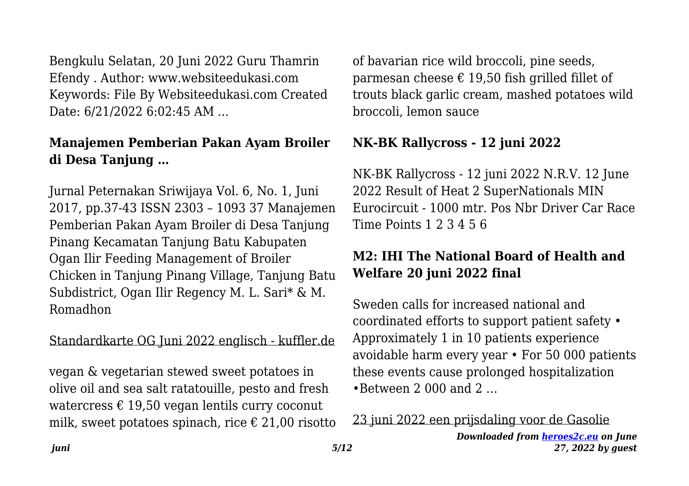Bengkulu Selatan, 20 Juni 2022 Guru Thamrin Efendy . Author: www.websiteedukasi.com Keywords: File By Websiteedukasi.com Created Date: 6/21/2022 6:02:45 AM ...

# **Manajemen Pemberian Pakan Ayam Broiler di Desa Tanjung …**

Jurnal Peternakan Sriwijaya Vol. 6, No. 1, Juni 2017, pp.37-43 ISSN 2303 – 1093 37 Manajemen Pemberian Pakan Ayam Broiler di Desa Tanjung Pinang Kecamatan Tanjung Batu Kabupaten Ogan Ilir Feeding Management of Broiler Chicken in Tanjung Pinang Village, Tanjung Batu Subdistrict, Ogan Ilir Regency M. L. Sari\* & M. Romadhon

#### Standardkarte OG Juni 2022 englisch - kuffler.de

vegan & vegetarian stewed sweet potatoes in olive oil and sea salt ratatouille, pesto and fresh watercress  $\epsilon$  19,50 vegan lentils curry coconut milk, sweet potatoes spinach, rice  $\epsilon$  21,00 risotto of bavarian rice wild broccoli, pine seeds, parmesan cheese  $\epsilon$  19,50 fish grilled fillet of trouts black garlic cream, mashed potatoes wild broccoli, lemon sauce

## **NK-BK Rallycross - 12 juni 2022**

NK-BK Rallycross - 12 juni 2022 N.R.V. 12 June 2022 Result of Heat 2 SuperNationals MIN Eurocircuit - 1000 mtr. Pos Nbr Driver Car Race Time Points 1 2 3 4 5 6

# **M2: IHI The National Board of Health and Welfare 20 juni 2022 final**

Sweden calls for increased national and coordinated efforts to support patient safety • Approximately 1 in 10 patients experience avoidable harm every year • For 50 000 patients these events cause prolonged hospitalization  $\bullet$ Between 2,000 and 2

*Downloaded from [heroes2c.eu](http://heroes2c.eu) on June 27, 2022 by guest* 23 juni 2022 een prijsdaling voor de Gasolie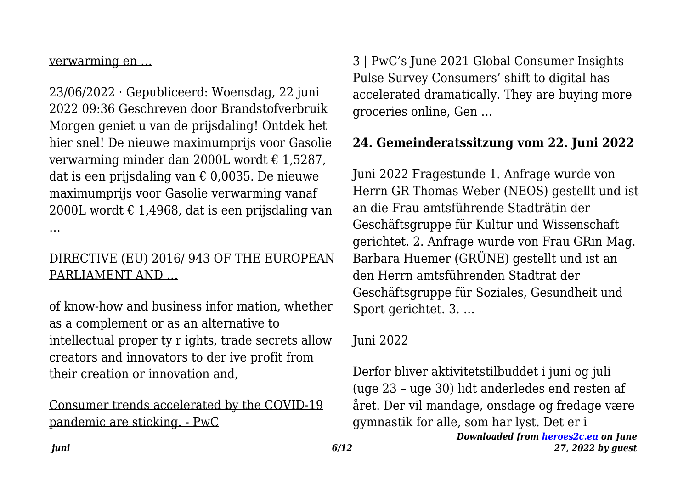verwarming en …

23/06/2022 · Gepubliceerd: Woensdag, 22 juni 2022 09:36 Geschreven door Brandstofverbruik Morgen geniet u van de prijsdaling! Ontdek het hier snel! De nieuwe maximumprijs voor Gasolie verwarming minder dan 2000L wordt € 1,5287, dat is een prijsdaling van € 0,0035. De nieuwe maximumprijs voor Gasolie verwarming vanaf 2000L wordt  $\epsilon$  1,4968, dat is een prijsdaling van …

#### DIRECTIVE (EU) 2016/ 943 OF THE EUROPEAN PARLIAMENT AND …

of know-how and business infor mation, whether as a complement or as an alternative to intellectual proper ty r ights, trade secrets allow creators and innovators to der ive profit from their creation or innovation and,

#### Consumer trends accelerated by the COVID-19 pandemic are sticking. - PwC

3 | PwC's June 2021 Global Consumer Insights Pulse Survey Consumers' shift to digital has accelerated dramatically. They are buying more groceries online, Gen …

## **24. Gemeinderatssitzung vom 22. Juni 2022**

Juni 2022 Fragestunde 1. Anfrage wurde von Herrn GR Thomas Weber (NEOS) gestellt und ist an die Frau amtsführende Stadträtin der Geschäftsgruppe für Kultur und Wissenschaft gerichtet. 2. Anfrage wurde von Frau GRin Mag. Barbara Huemer (GRÜNE) gestellt und ist an den Herrn amtsführenden Stadtrat der Geschäftsgruppe für Soziales, Gesundheit und Sport gerichtet. 3. …

#### Juni 2022

Derfor bliver aktivitetstilbuddet i juni og juli (uge 23 – uge 30) lidt anderledes end resten af året. Der vil mandage, onsdage og fredage være gymnastik for alle, som har lyst. Det er i

```
Downloaded from heroes2c.eu on June
       27, 2022 by guest
```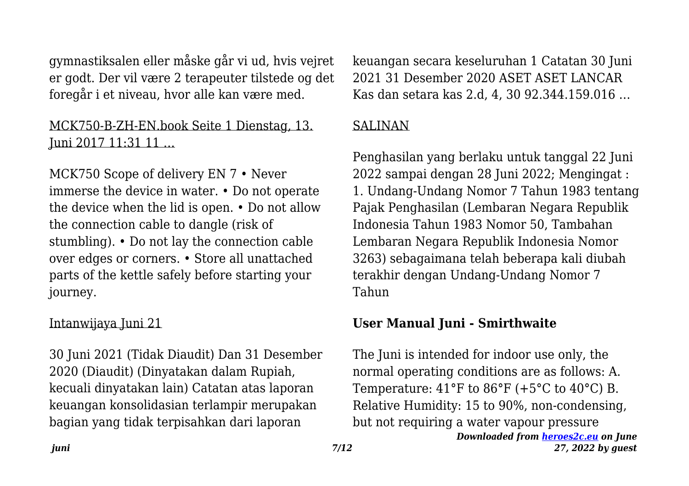gymnastiksalen eller måske går vi ud, hvis vejret er godt. Der vil være 2 terapeuter tilstede og det foregår i et niveau, hvor alle kan være med.

#### MCK750-B-ZH-EN.book Seite 1 Dienstag, 13. Juni 2017 11:31 11 …

MCK750 Scope of delivery EN 7 • Never immerse the device in water. • Do not operate the device when the lid is open. • Do not allow the connection cable to dangle (risk of stumbling). • Do not lay the connection cable over edges or corners. • Store all unattached parts of the kettle safely before starting your journey.

#### Intanwijaya Juni 21

30 Juni 2021 (Tidak Diaudit) Dan 31 Desember 2020 (Diaudit) (Dinyatakan dalam Rupiah, kecuali dinyatakan lain) Catatan atas laporan keuangan konsolidasian terlampir merupakan bagian yang tidak terpisahkan dari laporan

keuangan secara keseluruhan 1 Catatan 30 Juni 2021 31 Desember 2020 ASET ASET LANCAR Kas dan setara kas 2.d, 4, 30 92.344.159.016 …

#### **SALINAN**

Penghasilan yang berlaku untuk tanggal 22 Juni 2022 sampai dengan 28 Juni 2022; Mengingat : 1. Undang-Undang Nomor 7 Tahun 1983 tentang Pajak Penghasilan (Lembaran Negara Republik Indonesia Tahun 1983 Nomor 50, Tambahan Lembaran Negara Republik Indonesia Nomor 3263) sebagaimana telah beberapa kali diubah terakhir dengan Undang-Undang Nomor 7 Tahun

## **User Manual Juni - Smirthwaite**

The Juni is intended for indoor use only, the normal operating conditions are as follows: A. Temperature:  $41^{\circ}$ F to  $86^{\circ}$ F (+5<sup>o</sup>C to  $40^{\circ}$ C) B. Relative Humidity: 15 to 90%, non-condensing, but not requiring a water vapour pressure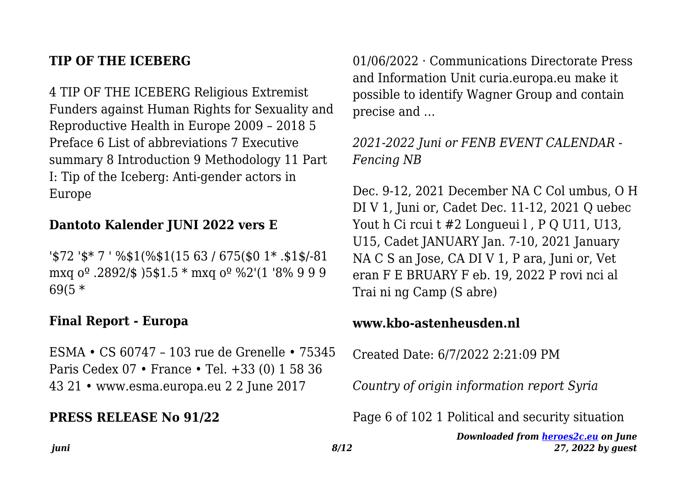#### **TIP OF THE ICEBERG**

4 TIP OF THE ICEBERG Religious Extremist Funders against Human Rights for Sexuality and Reproductive Health in Europe 2009 – 2018 5 Preface 6 List of abbreviations 7 Executive summary 8 Introduction 9 Methodology 11 Part I: Tip of the Iceberg: Anti-gender actors in Europe

#### **Dantoto Kalender JUNI 2022 vers E**

'\$72 '\$\* 7 ' %\$1(%\$1(15 63 / 675(\$0 1\* .\$1\$/-81 mxq oº .2892/\$ )5\$1.5 \* mxq oº %2'(1 '8% 9 9 9 69(5 \*

#### **Final Report - Europa**

ESMA • CS 60747 – 103 rue de Grenelle • 75345 Paris Cedex 07 • France • Tel. +33 (0) 1 58 36 43 21 • www.esma.europa.eu 2 2 June 2017

#### **PRESS RELEASE No 91/22**

01/06/2022 · Communications Directorate Press and Information Unit curia.europa.eu make it possible to identify Wagner Group and contain precise and …

*2021-2022 Juni or FENB EVENT CALENDAR - Fencing NB*

Dec. 9-12, 2021 December NA C Col umbus, O H DI V 1, Juni or, Cadet Dec. 11-12, 2021 Q uebec Yout h Ci rcui t #2 Longueui l, P O U11, U13, U15, Cadet JANUARY Jan. 7-10, 2021 January NA C S an Jose, CA DI V 1, P ara, Juni or, Vet eran F E BRUARY F eb. 19, 2022 P rovi nci al Trai ni ng Camp (S abre)

#### **www.kbo-astenheusden.nl**

Created Date: 6/7/2022 2:21:09 PM

*Country of origin information report Syria*

Page 6 of 102 1 Political and security situation

*Downloaded from [heroes2c.eu](http://heroes2c.eu) on June 27, 2022 by guest*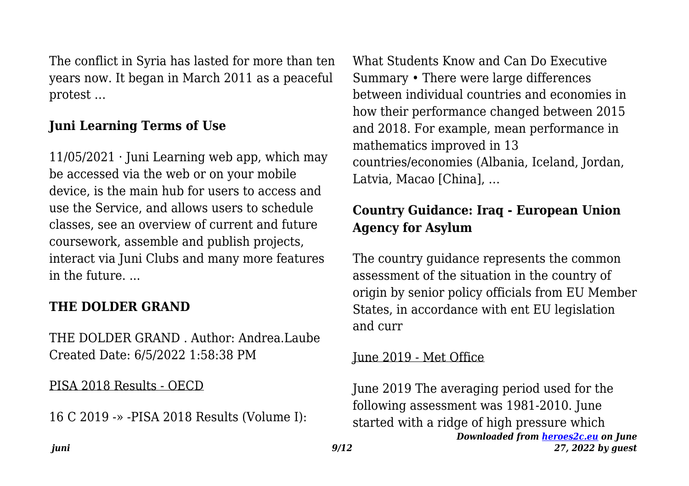The conflict in Syria has lasted for more than ten years now. It began in March 2011 as a peaceful protest …

# **Juni Learning Terms of Use**

 $11/05/2021$  · Juni Learning web app, which may be accessed via the web or on your mobile device, is the main hub for users to access and use the Service, and allows users to schedule classes, see an overview of current and future coursework, assemble and publish projects, interact via Juni Clubs and many more features in the future. ...

## **THE DOLDER GRAND**

THE DOLDER GRAND . Author: Andrea.Laube Created Date: 6/5/2022 1:58:38 PM

#### PISA 2018 Results - OECD

16 C 2019 -» -PISA 2018 Results (Volume I):

What Students Know and Can Do Executive Summary • There were large differences between individual countries and economies in how their performance changed between 2015 and 2018. For example, mean performance in mathematics improved in 13 countries/economies (Albania, Iceland, Jordan, Latvia, Macao [China], …

# **Country Guidance: Iraq - European Union Agency for Asylum**

The country guidance represents the common assessment of the situation in the country of origin by senior policy officials from EU Member States, in accordance with ent EU legislation and curr

#### June 2019 - Met Office

*Downloaded from [heroes2c.eu](http://heroes2c.eu) on June 27, 2022 by guest* June 2019 The averaging period used for the following assessment was 1981-2010. June started with a ridge of high pressure which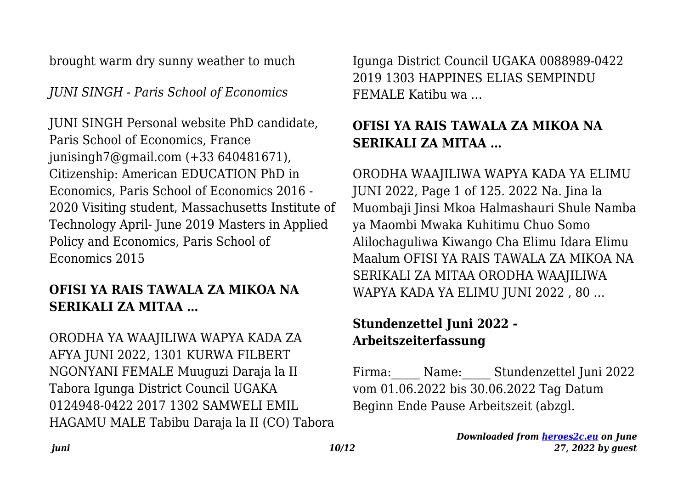brought warm dry sunny weather to much

*JUNI SINGH - Paris School of Economics*

JUNI SINGH Personal website PhD candidate, Paris School of Economics, France junisingh7@gmail.com (+33 640481671), Citizenship: American EDUCATION PhD in Economics, Paris School of Economics 2016 - 2020 Visiting student, Massachusetts Institute of Technology April- June 2019 Masters in Applied Policy and Economics, Paris School of Economics 2015

# **OFISI YA RAIS TAWALA ZA MIKOA NA SERIKALI ZA MITAA …**

ORODHA YA WAAJILIWA WAPYA KADA ZA AFYA JUNI 2022, 1301 KURWA FILBERT NGONYANI FEMALE Muuguzi Daraja la II Tabora Igunga District Council UGAKA 0124948-0422 2017 1302 SAMWELI EMIL HAGAMU MALE Tabibu Daraja la II (CO) Tabora Igunga District Council UGAKA 0088989-0422 2019 1303 HAPPINES ELIAS SEMPINDU FEMALE Katibu wa …

# **OFISI YA RAIS TAWALA ZA MIKOA NA SERIKALI ZA MITAA …**

ORODHA WAAJILIWA WAPYA KADA YA ELIMU JUNI 2022, Page 1 of 125. 2022 Na. Jina la Muombaji Jinsi Mkoa Halmashauri Shule Namba ya Maombi Mwaka Kuhitimu Chuo Somo Alilochaguliwa Kiwango Cha Elimu Idara Elimu Maalum OFISI YA RAIS TAWALA ZA MIKOA NA SERIKALI ZA MITAA ORODHA WAAJILIWA WAPYA KADA YA ELIMU JUNI 2022 , 80 …

# **Stundenzettel Juni 2022 - Arbeitszeiterfassung**

Firma: Name: Stundenzettel Juni 2022 vom 01.06.2022 bis 30.06.2022 Tag Datum Beginn Ende Pause Arbeitszeit (abzgl.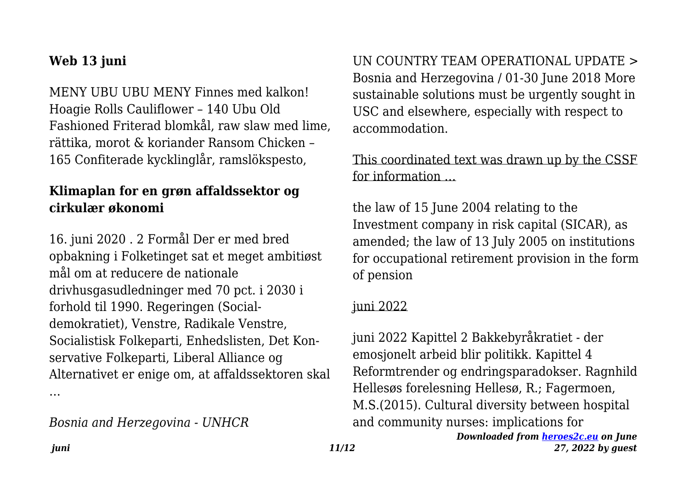## **Web 13 juni**

MENY UBU UBU MENY Finnes med kalkon! Hoagie Rolls Cauliflower – 140 Ubu Old Fashioned Friterad blomkål, raw slaw med lime, rättika, morot & koriander Ransom Chicken – 165 Confiterade kycklinglår, ramslökspesto,

## **Klimaplan for en grøn affaldssektor og cirkulær økonomi**

16. juni 2020 . 2 Formål Der er med bred opbakning i Folketinget sat et meget ambitiøst mål om at reducere de nationale drivhusgasudledninger med 70 pct. i 2030 i forhold til 1990. Regeringen (Socialdemokratiet), Venstre, Radikale Venstre, Socialistisk Folkeparti, Enhedslisten, Det Konservative Folkeparti, Liberal Alliance og Alternativet er enige om, at affaldssektoren skal …

*Bosnia and Herzegovina - UNHCR*

UN COUNTRY TEAM OPERATIONAL UPDATE > Bosnia and Herzegovina / 01-30 June 2018 More sustainable solutions must be urgently sought in USC and elsewhere, especially with respect to accommodation.

## This coordinated text was drawn up by the CSSF for information …

the law of 15 June 2004 relating to the Investment company in risk capital (SICAR), as amended; the law of 13 July 2005 on institutions for occupational retirement provision in the form of pension

#### juni 2022

juni 2022 Kapittel 2 Bakkebyråkratiet - der emosjonelt arbeid blir politikk. Kapittel 4 Reformtrender og endringsparadokser. Ragnhild Hellesøs forelesning Hellesø, R.; Fagermoen, M.S.(2015). Cultural diversity between hospital and community nurses: implications for

*Downloaded from [heroes2c.eu](http://heroes2c.eu) on June 27, 2022 by guest*